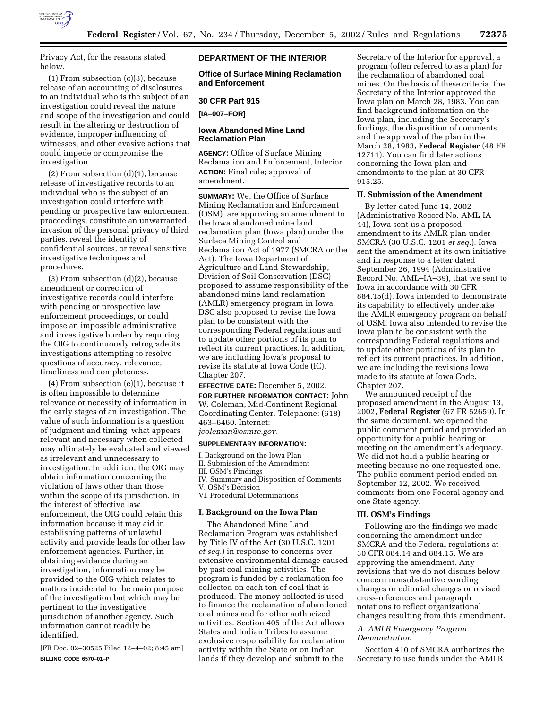

Privacy Act, for the reasons stated below.

(1) From subsection (c)(3), because release of an accounting of disclosures to an individual who is the subject of an investigation could reveal the nature and scope of the investigation and could result in the altering or destruction of evidence, improper influencing of witnesses, and other evasive actions that could impede or compromise the investigation.

(2) From subsection (d)(1), because release of investigative records to an individual who is the subject of an investigation could interfere with pending or prospective law enforcement proceedings, constitute an unwarranted invasion of the personal privacy of third parties, reveal the identity of confidential sources, or reveal sensitive investigative techniques and procedures.

(3) From subsection (d)(2), because amendment or correction of investigative records could interfere with pending or prospective law enforcement proceedings, or could impose an impossible administrative and investigative burden by requiring the OIG to continuously retrograde its investigations attempting to resolve questions of accuracy, relevance, timeliness and completeness.

(4) From subsection (e)(1), because it is often impossible to determine relevance or necessity of information in the early stages of an investigation. The value of such information is a question of judgment and timing; what appears relevant and necessary when collected may ultimately be evaluated and viewed as irrelevant and unnecessary to investigation. In addition, the OIG may obtain information concerning the violation of laws other than those within the scope of its jurisdiction. In the interest of effective law enforcement, the OIG could retain this information because it may aid in establishing patterns of unlawful activity and provide leads for other law enforcement agencies. Further, in obtaining evidence during an investigation, information may be provided to the OIG which relates to matters incidental to the main purpose of the investigation but which may be pertinent to the investigative jurisdiction of another agency. Such information cannot readily be identified.

[FR Doc. 02–30525 Filed 12–4–02; 8:45 am] **BILLING CODE 6570–01–P**

# **DEPARTMENT OF THE INTERIOR**

**Office of Surface Mining Reclamation and Enforcement** 

#### **30 CFR Part 915**

**[IA–007–FOR]** 

# **Iowa Abandoned Mine Land Reclamation Plan**

**AGENCY:** Office of Surface Mining Reclamation and Enforcement, Interior. **ACTION:** Final rule; approval of amendment.

**SUMMARY:** We, the Office of Surface Mining Reclamation and Enforcement (OSM), are approving an amendment to the Iowa abandoned mine land reclamation plan (Iowa plan) under the Surface Mining Control and Reclamation Act of 1977 (SMCRA or the Act). The Iowa Department of Agriculture and Land Stewardship, Division of Soil Conservation (DSC) proposed to assume responsibility of the abandoned mine land reclamation (AMLR) emergency program in Iowa. DSC also proposed to revise the Iowa plan to be consistent with the corresponding Federal regulations and to update other portions of its plan to reflect its current practices. In addition, we are including Iowa's proposal to revise its statute at Iowa Code (IC), Chapter 207.

**EFFECTIVE DATE:** December 5, 2002.

**FOR FURTHER INFORMATION CONTACT:** John W. Coleman, Mid-Continent Regional Coordinating Center. Telephone: (618) 463–6460. Internet: *jcoleman@osmre.gov.*

### **SUPPLEMENTARY INFORMATION:**

- I. Background on the Iowa Plan II. Submission of the Amendment III. OSM's Findings IV. Summary and Disposition of Comments
- V. OSM's Decision
- VI. Procedural Determinations

## **I. Background on the Iowa Plan**

The Abandoned Mine Land Reclamation Program was established by Title IV of the Act (30 U.S.C. 1201 *et seq.*) in response to concerns over extensive environmental damage caused by past coal mining activities. The program is funded by a reclamation fee collected on each ton of coal that is produced. The money collected is used to finance the reclamation of abandoned coal mines and for other authorized activities. Section 405 of the Act allows States and Indian Tribes to assume exclusive responsibility for reclamation activity within the State or on Indian lands if they develop and submit to the

Secretary of the Interior for approval, a program (often referred to as a plan) for the reclamation of abandoned coal mines. On the basis of these criteria, the Secretary of the Interior approved the Iowa plan on March 28, 1983. You can find background information on the Iowa plan, including the Secretary's findings, the disposition of comments, and the approval of the plan in the March 28, 1983, **Federal Register** (48 FR 12711). You can find later actions concerning the Iowa plan and amendments to the plan at 30 CFR 915.25.

### **II. Submission of the Amendment**

By letter dated June 14, 2002 (Administrative Record No. AML-IA– 44), Iowa sent us a proposed amendment to its AMLR plan under SMCRA (30 U.S.C. 1201 *et seq.*). Iowa sent the amendment at its own initiative and in response to a letter dated September 26, 1994 (Administrative Record No. AML–IA–39), that we sent to Iowa in accordance with 30 CFR 884.15(d). Iowa intended to demonstrate its capability to effectively undertake the AMLR emergency program on behalf of OSM. Iowa also intended to revise the Iowa plan to be consistent with the corresponding Federal regulations and to update other portions of its plan to reflect its current practices. In addition, we are including the revisions Iowa made to its statute at Iowa Code, Chapter 207.

We announced receipt of the proposed amendment in the August 13, 2002, **Federal Register** (67 FR 52659). In the same document, we opened the public comment period and provided an opportunity for a public hearing or meeting on the amendment's adequacy. We did not hold a public hearing or meeting because no one requested one. The public comment period ended on September 12, 2002. We received comments from one Federal agency and one State agency.

#### **III. OSM's Findings**

Following are the findings we made concerning the amendment under SMCRA and the Federal regulations at 30 CFR 884.14 and 884.15. We are approving the amendment. Any revisions that we do not discuss below concern nonsubstantive wording changes or editorial changes or revised cross-references and paragraph notations to reflect organizational changes resulting from this amendment.

## *A. AMLR Emergency Program Demonstration*

Section 410 of SMCRA authorizes the Secretary to use funds under the AMLR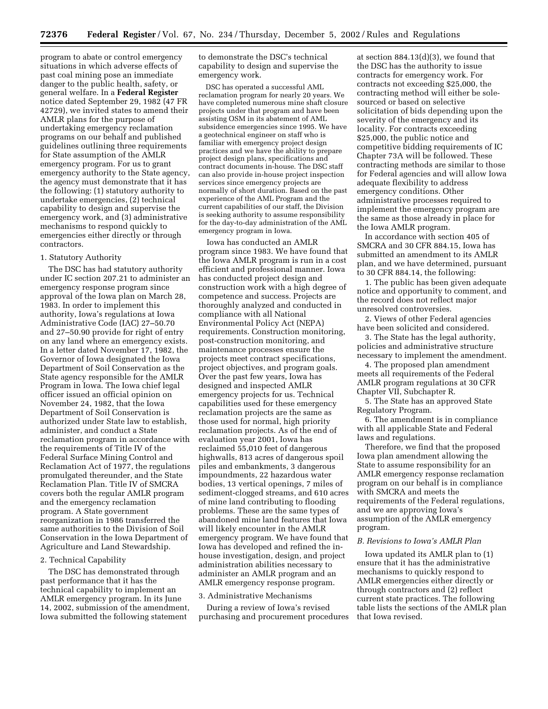program to abate or control emergency situations in which adverse effects of past coal mining pose an immediate danger to the public health, safety, or general welfare. In a **Federal Register** notice dated September 29, 1982 (47 FR 42729), we invited states to amend their AMLR plans for the purpose of undertaking emergency reclamation programs on our behalf and published guidelines outlining three requirements for State assumption of the AMLR emergency program. For us to grant emergency authority to the State agency, the agency must demonstrate that it has the following: (1) statutory authority to undertake emergencies, (2) technical capability to design and supervise the emergency work, and (3) administrative mechanisms to respond quickly to emergencies either directly or through contractors.

### 1. Statutory Authority

The DSC has had statutory authority under IC section 207.21 to administer an emergency response program since approval of the Iowa plan on March 28, 1983. In order to implement this authority, Iowa's regulations at Iowa Administrative Code (IAC) 27–50.70 and 27–50.90 provide for right of entry on any land where an emergency exists. In a letter dated November 17, 1982, the Governor of Iowa designated the Iowa Department of Soil Conservation as the State agency responsible for the AMLR Program in Iowa. The Iowa chief legal officer issued an official opinion on November 24, 1982, that the Iowa Department of Soil Conservation is authorized under State law to establish, administer, and conduct a State reclamation program in accordance with the requirements of Title IV of the Federal Surface Mining Control and Reclamation Act of 1977, the regulations promulgated thereunder, and the State Reclamation Plan. Title IV of SMCRA covers both the regular AMLR program and the emergency reclamation program. A State government reorganization in 1986 transferred the same authorities to the Division of Soil Conservation in the Iowa Department of Agriculture and Land Stewardship.

# 2. Technical Capability

The DSC has demonstrated through past performance that it has the technical capability to implement an AMLR emergency program. In its June 14, 2002, submission of the amendment, Iowa submitted the following statement

to demonstrate the DSC's technical capability to design and supervise the emergency work.

DSC has operated a successful AML reclamation program for nearly 20 years. We have completed numerous mine shaft closure projects under that program and have been assisting OSM in its abatement of AML subsidence emergencies since 1995. We have a geotechnical engineer on staff who is familiar with emergency project design practices and we have the ability to prepare project design plans, specifications and contract documents in-house. The DSC staff can also provide in-house project inspection services since emergency projects are normally of short duration. Based on the past experience of the AML Program and the current capabilities of our staff, the Division is seeking authority to assume responsibility for the day-to-day administration of the AML emergency program in Iowa.

Iowa has conducted an AMLR program since 1983. We have found that the Iowa AMLR program is run in a cost efficient and professional manner. Iowa has conducted project design and construction work with a high degree of competence and success. Projects are thoroughly analyzed and conducted in compliance with all National Environmental Policy Act (NEPA) requirements. Construction monitoring, post-construction monitoring, and maintenance processes ensure the projects meet contract specifications, project objectives, and program goals. Over the past few years, Iowa has designed and inspected AMLR emergency projects for us. Technical capabilities used for these emergency reclamation projects are the same as those used for normal, high priority reclamation projects. As of the end of evaluation year 2001, Iowa has reclaimed 55,010 feet of dangerous highwalls, 813 acres of dangerous spoil piles and embankments, 3 dangerous impoundments, 22 hazardous water bodies, 13 vertical openings, 7 miles of sediment-clogged streams, and 610 acres of mine land contributing to flooding problems. These are the same types of abandoned mine land features that Iowa will likely encounter in the AMLR emergency program. We have found that Iowa has developed and refined the inhouse investigation, design, and project administration abilities necessary to administer an AMLR program and an AMLR emergency response program.

#### 3. Administrative Mechanisms

During a review of Iowa's revised purchasing and procurement procedures

at section 884.13(d)(3), we found that the DSC has the authority to issue contracts for emergency work. For contracts not exceeding \$25,000, the contracting method will either be solesourced or based on selective solicitation of bids depending upon the severity of the emergency and its locality. For contracts exceeding \$25,000, the public notice and competitive bidding requirements of IC Chapter 73A will be followed. These contracting methods are similar to those for Federal agencies and will allow Iowa adequate flexibility to address emergency conditions. Other administrative processes required to implement the emergency program are the same as those already in place for the Iowa AMLR program.

In accordance with section 405 of SMCRA and 30 CFR 884.15, Iowa has submitted an amendment to its AMLR plan, and we have determined, pursuant to 30 CFR 884.14, the following:

1. The public has been given adequate notice and opportunity to comment, and the record does not reflect major unresolved controversies.

2. Views of other Federal agencies have been solicited and considered.

3. The State has the legal authority, policies and administrative structure necessary to implement the amendment.

4. The proposed plan amendment meets all requirements of the Federal AMLR program regulations at 30 CFR Chapter VII, Subchapter R.

5. The State has an approved State Regulatory Program.

6. The amendment is in compliance with all applicable State and Federal laws and regulations.

Therefore, we find that the proposed Iowa plan amendment allowing the State to assume responsibility for an AMLR emergency response reclamation program on our behalf is in compliance with SMCRA and meets the requirements of the Federal regulations, and we are approving Iowa's assumption of the AMLR emergency program.

#### *B. Revisions to Iowa's AMLR Plan*

Iowa updated its AMLR plan to (1) ensure that it has the administrative mechanisms to quickly respond to AMLR emergencies either directly or through contractors and (2) reflect current state practices. The following table lists the sections of the AMLR plan that Iowa revised.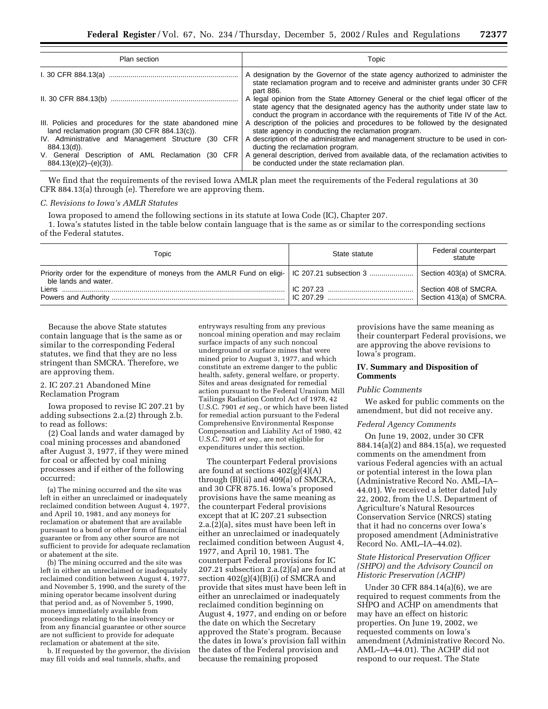| Plan section                                                                                              | Topic                                                                                                                                                                                                                                                |
|-----------------------------------------------------------------------------------------------------------|------------------------------------------------------------------------------------------------------------------------------------------------------------------------------------------------------------------------------------------------------|
|                                                                                                           | A designation by the Governor of the state agency authorized to administer the<br>state reclamation program and to receive and administer grants under 30 CFR<br>part 886.                                                                           |
|                                                                                                           | A legal opinion from the State Attorney General or the chief legal officer of the<br>state agency that the designated agency has the authority under state law to<br>conduct the program in accordance with the requirements of Title IV of the Act. |
| III. Policies and procedures for the state abandoned mine<br>land reclamation program (30 CFR 884.13(c)). | A description of the policies and procedures to be followed by the designated<br>state agency in conducting the reclamation program.                                                                                                                 |
| IV. Administrative and Management Structure<br>(30 CFR<br>884.13(d)).                                     | A description of the administrative and management structure to be used in con-<br>ducting the reclamation program.                                                                                                                                  |
| V. General Description of AML Reclamation<br>(30 CFR)<br>$884.13(e)(2)–(e)(3)$ .                          | A general description, derived from available data, of the reclamation activities to<br>be conducted under the state reclamation plan.                                                                                                               |

We find that the requirements of the revised Iowa AMLR plan meet the requirements of the Federal regulations at 30 CFR 884.13(a) through (e). Therefore we are approving them.

### *C. Revisions to Iowa's AMLR Statutes*

Iowa proposed to amend the following sections in its statute at Iowa Code (IC), Chapter 207.

1. Iowa's statutes listed in the table below contain language that is the same as or similar to the corresponding sections of the Federal statutes.

| Topic                                                                                                                                              | State statute | Federal counterpart<br>statute                    |
|----------------------------------------------------------------------------------------------------------------------------------------------------|---------------|---------------------------------------------------|
| Priority order for the expenditure of moneys from the AMLR Fund on eligi- IC 207.21 subsection 3  Section 403(a) of SMCRA.<br>ble lands and water. |               |                                                   |
|                                                                                                                                                    |               | Section 408 of SMCRA.<br>Section 413(a) of SMCRA. |
|                                                                                                                                                    |               |                                                   |

Because the above State statutes contain language that is the same as or similar to the corresponding Federal statutes, we find that they are no less stringent than SMCRA. Therefore, we are approving them.

# 2. IC 207.21 Abandoned Mine Reclamation Program

Iowa proposed to revise IC 207.21 by adding subsections 2.a.(2) through 2.b. to read as follows:

(2) Coal lands and water damaged by coal mining processes and abandoned after August 3, 1977, if they were mined for coal or affected by coal mining processes and if either of the following occurred:

(a) The mining occurred and the site was left in either an unreclaimed or inadequately reclaimed condition between August  $\hat{4}$ , 1977, and April 10, 1981, and any moneys for reclamation or abatement that are available pursuant to a bond or other form of financial guarantee or from any other source are not sufficient to provide for adequate reclamation or abatement at the site.

(b) The mining occurred and the site was left in either an unreclaimed or inadequately reclaimed condition between August 4, 1977, and November 5, 1990, and the surety of the mining operator became insolvent during that period and, as of November 5, 1990, moneys immediately available from proceedings relating to the insolvency or from any financial guarantee or other source are not sufficient to provide for adequate reclamation or abatement at the site.

b. If requested by the governor, the division may fill voids and seal tunnels, shafts, and

entryways resulting from any previous noncoal mining operation and may reclaim surface impacts of any such noncoal underground or surface mines that were mined prior to August 3, 1977, and which constitute an extreme danger to the public health, safety, general welfare, or property. Sites and areas designated for remedial action pursuant to the Federal Uranium Mill Tailings Radiation Control Act of 1978, 42 U.S.C. 7901 *et seq.*, or which have been listed for remedial action pursuant to the Federal Comprehensive Environmental Response Compensation and Liability Act of 1980, 42 U.S.C. 7901 *et seq.*, are not eligible for expenditures under this section.

The counterpart Federal provisions are found at sections  $402(g)(4)(A)$ through (B)(ii) and 409(a) of SMCRA, and 30 CFR 875.16. Iowa's proposed provisions have the same meaning as the counterpart Federal provisions except that at IC 207.21 subsection 2.a.(2)(a), sites must have been left in either an unreclaimed or inadequately reclaimed condition between August 4, 1977, and April 10, 1981. The counterpart Federal provisions for IC 207.21 subsection 2.a.(2)(a) are found at section  $402(g)(4)(B)(i)$  of SMCRA and provide that sites must have been left in either an unreclaimed or inadequately reclaimed condition beginning on August 4, 1977, and ending on or before the date on which the Secretary approved the State's program. Because the dates in Iowa's provision fall within the dates of the Federal provision and because the remaining proposed

provisions have the same meaning as their counterpart Federal provisions, we are approving the above revisions to Iowa's program.

## **IV. Summary and Disposition of Comments**

### *Public Comments*

We asked for public comments on the amendment, but did not receive any.

#### *Federal Agency Comments*

On June 19, 2002, under 30 CFR 884.14(a)(2) and 884.15(a), we requested comments on the amendment from various Federal agencies with an actual or potential interest in the Iowa plan (Administrative Record No. AML–IA– 44.01). We received a letter dated July 22, 2002, from the U.S. Department of Agriculture's Natural Resources Conservation Service (NRCS) stating that it had no concerns over Iowa's proposed amendment (Administrative Record No. AML–IA–44.02).

# *State Historical Preservation Officer (SHPO) and the Advisory Council on Historic Preservation (ACHP)*

Under 30 CFR 884.14(a)(6), we are required to request comments from the SHPO and ACHP on amendments that may have an effect on historic properties. On June 19, 2002, we requested comments on Iowa's amendment (Administrative Record No. AML–IA–44.01). The ACHP did not respond to our request. The State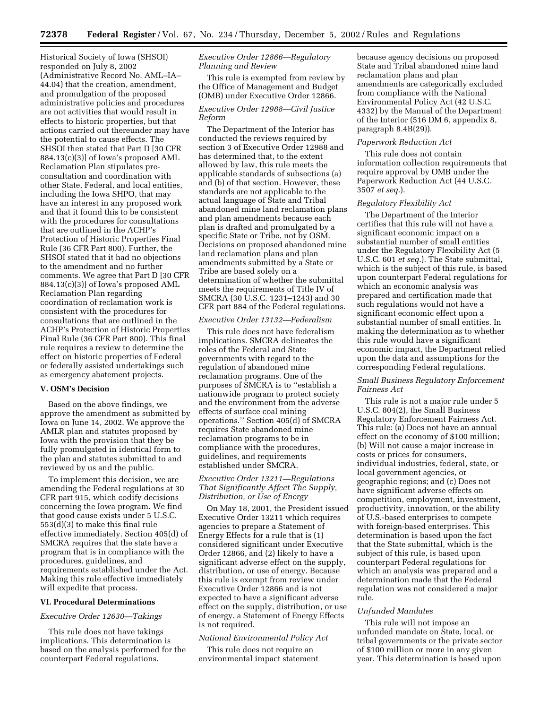Historical Society of Iowa (SHSOI) responded on July 8, 2002 (Administrative Record No. AML–IA– 44.04) that the creation, amendment, and promulgation of the proposed administrative policies and procedures are not activities that would result in effects to historic properties, but that actions carried out thereunder may have the potential to cause effects. The SHSOI then stated that Part D [30 CFR 884.13(c)(3)] of Iowa's proposed AML Reclamation Plan stipulates preconsultation and coordination with other State, Federal, and local entities, including the Iowa SHPO, that may have an interest in any proposed work and that it found this to be consistent with the procedures for consultations that are outlined in the ACHP's Protection of Historic Properties Final Rule (36 CFR Part 800). Further, the SHSOI stated that it had no objections to the amendment and no further comments. We agree that Part D [30 CFR 884.13(c)(3)] of Iowa's proposed AML Reclamation Plan regarding coordination of reclamation work is consistent with the procedures for consultations that are outlined in the ACHP's Protection of Historic Properties Final Rule (36 CFR Part 800). This final rule requires a review to determine the effect on historic properties of Federal or federally assisted undertakings such as emergency abatement projects.

### **V. OSM's Decision**

Based on the above findings, we approve the amendment as submitted by Iowa on June 14, 2002. We approve the AMLR plan and statutes proposed by Iowa with the provision that they be fully promulgated in identical form to the plan and statutes submitted to and reviewed by us and the public.

To implement this decision, we are amending the Federal regulations at 30 CFR part 915, which codify decisions concerning the Iowa program. We find that good cause exists under 5 U.S.C. 553(d)(3) to make this final rule effective immediately. Section 405(d) of SMCRA requires that the state have a program that is in compliance with the procedures, guidelines, and requirements established under the Act. Making this rule effective immediately will expedite that process.

#### **VI. Procedural Determinations**

### *Executive Order 12630—Takings*

This rule does not have takings implications. This determination is based on the analysis performed for the counterpart Federal regulations.

# *Executive Order 12866—Regulatory Planning and Review*

This rule is exempted from review by the Office of Management and Budget (OMB) under Executive Order 12866.

### *Executive Order 12988—Civil Justice Reform*

The Department of the Interior has conducted the reviews required by section 3 of Executive Order 12988 and has determined that, to the extent allowed by law, this rule meets the applicable standards of subsections (a) and (b) of that section. However, these standards are not applicable to the actual language of State and Tribal abandoned mine land reclamation plans and plan amendments because each plan is drafted and promulgated by a specific State or Tribe, not by OSM. Decisions on proposed abandoned mine land reclamation plans and plan amendments submitted by a State or Tribe are based solely on a determination of whether the submittal meets the requirements of Title IV of SMCRA (30 U.S.C. 1231–1243) and 30 CFR part 884 of the Federal regulations.

### *Executive Order 13132—Federalism*

This rule does not have federalism implications. SMCRA delineates the roles of the Federal and State governments with regard to the regulation of abandoned mine reclamation programs. One of the purposes of SMCRA is to ''establish a nationwide program to protect society and the environment from the adverse effects of surface coal mining operations.'' Section 405(d) of SMCRA requires State abandoned mine reclamation programs to be in compliance with the procedures, guidelines, and requirements established under SMCRA.

# *Executive Order 13211—Regulations That Significantly Affect The Supply, Distribution, or Use of Energy*

On May 18, 2001, the President issued Executive Order 13211 which requires agencies to prepare a Statement of Energy Effects for a rule that is (1) considered significant under Executive Order 12866, and (2) likely to have a significant adverse effect on the supply, distribution, or use of energy. Because this rule is exempt from review under Executive Order 12866 and is not expected to have a significant adverse effect on the supply, distribution, or use of energy, a Statement of Energy Effects is not required.

# *National Environmental Policy Act*

This rule does not require an environmental impact statement because agency decisions on proposed State and Tribal abandoned mine land reclamation plans and plan amendments are categorically excluded from compliance with the National Environmental Policy Act (42 U.S.C. 4332) by the Manual of the Department of the Interior (516 DM 6, appendix 8, paragraph 8.4B(29)).

### *Paperwork Reduction Act*

This rule does not contain information collection requirements that require approval by OMB under the Paperwork Reduction Act (44 U.S.C. 3507 *et seq.*).

#### *Regulatory Flexibility Act*

The Department of the Interior certifies that this rule will not have a significant economic impact on a substantial number of small entities under the Regulatory Flexibility Act (5 U.S.C. 601 *et seq.*). The State submittal, which is the subject of this rule, is based upon counterpart Federal regulations for which an economic analysis was prepared and certification made that such regulations would not have a significant economic effect upon a substantial number of small entities. In making the determination as to whether this rule would have a significant economic impact, the Department relied upon the data and assumptions for the corresponding Federal regulations.

# *Small Business Regulatory Enforcement Fairness Act*

This rule is not a major rule under 5 U.S.C. 804(2), the Small Business Regulatory Enforcement Fairness Act. This rule: (a) Does not have an annual effect on the economy of \$100 million; (b) Will not cause a major increase in costs or prices for consumers, individual industries, federal, state, or local government agencies, or geographic regions; and (c) Does not have significant adverse effects on competition, employment, investment, productivity, innovation, or the ability of U.S.-based enterprises to compete with foreign-based enterprises. This determination is based upon the fact that the State submittal, which is the subject of this rule, is based upon counterpart Federal regulations for which an analysis was prepared and a determination made that the Federal regulation was not considered a major rule.

#### *Unfunded Mandates*

This rule will not impose an unfunded mandate on State, local, or tribal governments or the private sector of \$100 million or more in any given year. This determination is based upon